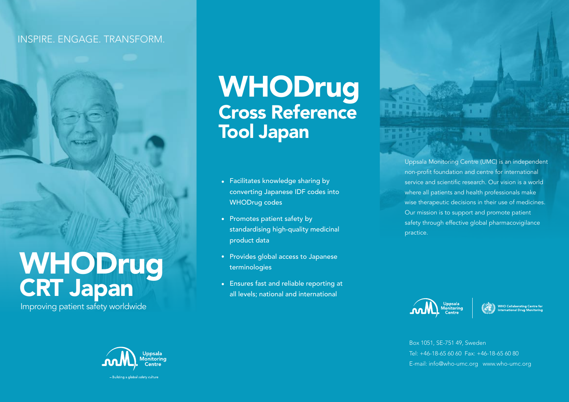#### INSPIRE. ENGAGE. TRANSFORM.

# WHODrug CRT Japan

Improving patient safety worldwide



**WHODrug** Cross Reference Tool Japan

- Facilitates knowledge sharing by converting Japanese IDF codes into WHODrug codes
- Promotes patient safety by standardising high-quality medicinal product data
- Provides global access to Japanese terminologies
- Ensures fast and reliable reporting at all levels; national and international

Uppsala Monitoring Centre (UMC) is an independent non-profit foundation and centre for international service and scientific research. Our vision is a world where all patients and health professionals make wise therapeutic decisions in their use of medicines. Our mission is to support and promote patient safety through effective global pharmacovigilance practice.

Uppsala<br>Monitoring<br>Centre



Box 1051, SE-751 49, Sweden Tel: +46-18-65 60 60 Fax: +46-18-65 60 80 E-mail: info@who-umc.org www.who-umc.org